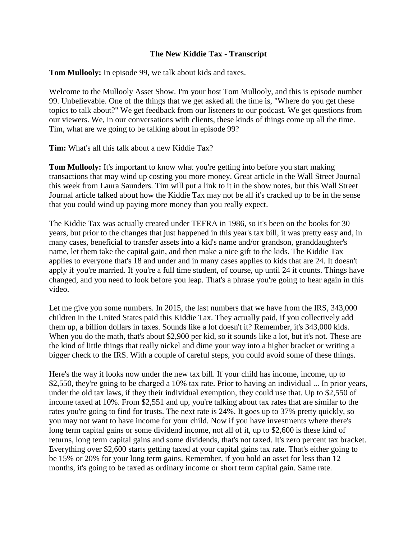## **The New Kiddie Tax - Transcript**

**Tom Mullooly:** In episode 99, we talk about kids and taxes.

Welcome to the Mullooly Asset Show. I'm your host Tom Mullooly, and this is episode number 99. Unbelievable. One of the things that we get asked all the time is, "Where do you get these topics to talk about?" We get feedback from our listeners to our podcast. We get questions from our viewers. We, in our conversations with clients, these kinds of things come up all the time. Tim, what are we going to be talking about in episode 99?

**Tim:** What's all this talk about a new Kiddie Tax?

**Tom Mullooly:** It's important to know what you're getting into before you start making transactions that may wind up costing you more money. Great article in the Wall Street Journal this week from Laura Saunders. Tim will put a link to it in the show notes, but this Wall Street Journal article talked about how the Kiddie Tax may not be all it's cracked up to be in the sense that you could wind up paying more money than you really expect.

The Kiddie Tax was actually created under TEFRA in 1986, so it's been on the books for 30 years, but prior to the changes that just happened in this year's tax bill, it was pretty easy and, in many cases, beneficial to transfer assets into a kid's name and/or grandson, granddaughter's name, let them take the capital gain, and then make a nice gift to the kids. The Kiddie Tax applies to everyone that's 18 and under and in many cases applies to kids that are 24. It doesn't apply if you're married. If you're a full time student, of course, up until 24 it counts. Things have changed, and you need to look before you leap. That's a phrase you're going to hear again in this video.

Let me give you some numbers. In 2015, the last numbers that we have from the IRS, 343,000 children in the United States paid this Kiddie Tax. They actually paid, if you collectively add them up, a billion dollars in taxes. Sounds like a lot doesn't it? Remember, it's 343,000 kids. When you do the math, that's about \$2,900 per kid, so it sounds like a lot, but it's not. These are the kind of little things that really nickel and dime your way into a higher bracket or writing a bigger check to the IRS. With a couple of careful steps, you could avoid some of these things.

Here's the way it looks now under the new tax bill. If your child has income, income, up to \$2,550, they're going to be charged a 10% tax rate. Prior to having an individual ... In prior years, under the old tax laws, if they their individual exemption, they could use that. Up to \$2,550 of income taxed at 10%. From \$2,551 and up, you're talking about tax rates that are similar to the rates you're going to find for trusts. The next rate is 24%. It goes up to 37% pretty quickly, so you may not want to have income for your child. Now if you have investments where there's long term capital gains or some dividend income, not all of it, up to \$2,600 is these kind of returns, long term capital gains and some dividends, that's not taxed. It's zero percent tax bracket. Everything over \$2,600 starts getting taxed at your capital gains tax rate. That's either going to be 15% or 20% for your long term gains. Remember, if you hold an asset for less than 12 months, it's going to be taxed as ordinary income or short term capital gain. Same rate.